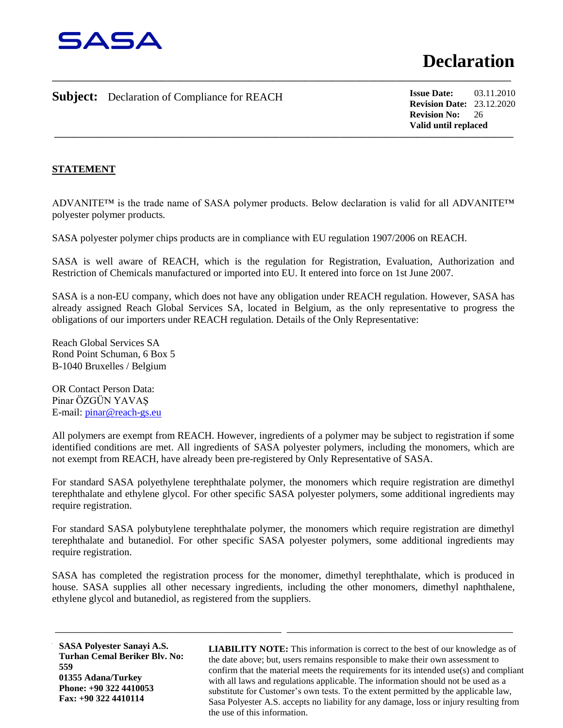

## **Subject:** Declaration of Compliance for REACH

**\_\_\_\_\_\_\_\_\_\_\_\_\_\_\_\_\_\_\_\_\_\_\_\_\_\_\_\_\_\_\_\_\_\_\_\_\_\_\_\_\_\_\_\_\_\_\_\_\_\_\_\_\_\_\_\_\_\_\_\_\_\_\_\_\_\_\_\_\_\_\_\_\_\_\_\_\_\_\_\_\_\_\_\_\_\_\_\_\_\_\_\_\_\_\_\_\_\_\_\_ Issue Date:** 03.11.2010 **Revision Date:** 23.12.2020 **Revision No:** 26 **Valid until replaced**

## **STATEMENT**

ADVANITE™ is the trade name of SASA polymer products. Below declaration is valid for all ADVANITE™ polyester polymer products.

**\_\_\_\_\_\_\_\_\_\_\_\_\_\_\_\_\_\_\_\_\_\_\_\_\_\_\_\_\_\_\_\_\_\_\_\_\_\_\_\_\_\_\_\_\_\_\_\_\_\_\_\_\_\_\_\_\_\_\_\_\_\_\_\_\_\_\_\_\_\_\_\_\_\_\_\_\_\_\_\_\_\_\_\_\_\_\_\_\_\_\_\_\_\_\_\_\_\_\_\_**

SASA polyester polymer chips products are in compliance with EU regulation 1907/2006 on REACH.

SASA is well aware of REACH, which is the regulation for Registration, Evaluation, Authorization and Restriction of Chemicals manufactured or imported into EU. It entered into force on 1st June 2007.

SASA is a non-EU company, which does not have any obligation under REACH regulation. However, SASA has already assigned Reach Global Services SA, located in Belgium, as the only representative to progress the obligations of our importers under REACH regulation. Details of the Only Representative:

Reach Global Services SA Rond Point Schuman, 6 Box 5 B-1040 Bruxelles / Belgium

OR Contact Person Data: Pinar ÖZGÜN YAVAŞ E-mail: [pinar@reach-gs.eu](mailto:pinar@reach-gs.eu)

All polymers are exempt from REACH. However, ingredients of a polymer may be subject to registration if some identified conditions are met. All ingredients of SASA polyester polymers, including the monomers, which are not exempt from REACH, have already been pre-registered by Only Representative of SASA.

For standard SASA polyethylene terephthalate polymer, the monomers which require registration are dimethyl terephthalate and ethylene glycol. For other specific SASA polyester polymers, some additional ingredients may require registration.

For standard SASA polybutylene terephthalate polymer, the monomers which require registration are dimethyl terephthalate and butanediol. For other specific SASA polyester polymers, some additional ingredients may require registration.

SASA has completed the registration process for the monomer, dimethyl terephthalate, which is produced in house. SASA supplies all other necessary ingredients, including the other monomers, dimethyl naphthalene, ethylene glycol and butanediol, as registered from the suppliers.

\_\_\_\_\_\_\_\_\_\_\_\_\_\_\_\_\_\_\_\_\_\_\_\_\_\_\_\_\_\_\_\_\_\_\_\_\_\_\_\_\_ \_\_\_\_\_\_\_\_\_\_\_\_\_\_\_\_\_\_\_\_\_\_\_\_\_\_\_\_\_\_\_\_\_\_\_\_\_\_\_\_\_

**SASA Polyester Sanayi A.S. Turhan Cemal Beriker Blv. No: 559 01355 Adana/Turkey Phone: +90 322 4410053 Fax: +90 322 4410114**

 $\mathcal{L}$  and  $\mathbf{P}$  is a set of  $\mathcal{L}$  is a set of  $\mathcal{L}$  is a set of  $\mathcal{L}$  is a set of  $\mathcal{L}$ **LIABILITY NOTE:** This information is correct to the best of our knowledge as of the date above; but, users remains responsible to make their own assessment to confirm that the material meets the requirements for its intended use(s) and compliant with all laws and regulations applicable. The information should not be used as a substitute for Customer's own tests. To the extent permitted by the applicable law, Sasa Polyester A.S. accepts no liability for any damage, loss or injury resulting from the use of this information.